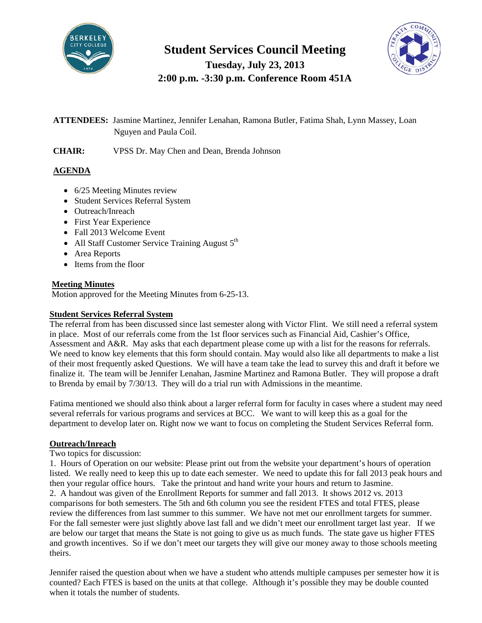

# **Student Services Council Meeting Tuesday, July 23, 2013**

**2:00 p.m. -3:30 p.m. Conference Room 451A**

# **ATTENDEES:** Jasmine Martinez, Jennifer Lenahan, Ramona Butler, Fatima Shah, Lynn Massey, Loan Nguyen and Paula Coil.

**CHAIR:** VPSS Dr. May Chen and Dean, Brenda Johnson

### **AGENDA**

- 6/25 Meeting Minutes review
- Student Services Referral System
- Outreach/Inreach
- First Year Experience
- Fall 2013 Welcome Event
- All Staff Customer Service Training August  $5<sup>th</sup>$
- Area Reports
- Items from the floor

#### **Meeting Minutes**

Motion approved for the Meeting Minutes from 6-25-13.

#### **Student Services Referral System**

The referral from has been discussed since last semester along with Victor Flint. We still need a referral system in place. Most of our referrals come from the 1st floor services such as Financial Aid, Cashier's Office, Assessment and A&R. May asks that each department please come up with a list for the reasons for referrals. We need to know key elements that this form should contain. May would also like all departments to make a list of their most frequently asked Questions. We will have a team take the lead to survey this and draft it before we finalize it. The team will be Jennifer Lenahan, Jasmine Martinez and Ramona Butler. They will propose a draft to Brenda by email by 7/30/13. They will do a trial run with Admissions in the meantime.

Fatima mentioned we should also think about a larger referral form for faculty in cases where a student may need several referrals for various programs and services at BCC. We want to will keep this as a goal for the department to develop later on. Right now we want to focus on completing the Student Services Referral form.

### **Outreach/Inreach**

#### Two topics for discussion:

1. Hours of Operation on our website: Please print out from the website your department's hours of operation listed. We really need to keep this up to date each semester. We need to update this for fall 2013 peak hours and then your regular office hours. Take the printout and hand write your hours and return to Jasmine. 2. A handout was given of the Enrollment Reports for summer and fall 2013. It shows 2012 vs. 2013 comparisons for both semesters. The 5th and 6th column you see the resident FTES and total FTES, please review the differences from last summer to this summer. We have not met our enrollment targets for summer. For the fall semester were just slightly above last fall and we didn't meet our enrollment target last year. If we are below our target that means the State is not going to give us as much funds. The state gave us higher FTES and growth incentives. So if we don't meet our targets they will give our money away to those schools meeting theirs.

Jennifer raised the question about when we have a student who attends multiple campuses per semester how it is counted? Each FTES is based on the units at that college. Although it's possible they may be double counted when it totals the number of students.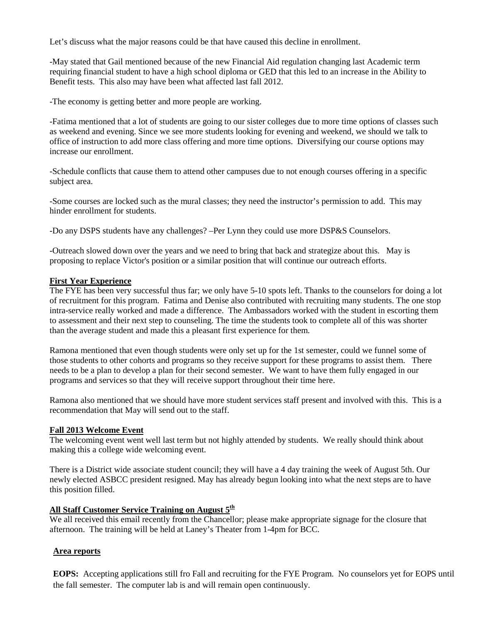Let's discuss what the major reasons could be that have caused this decline in enrollment.

-May stated that Gail mentioned because of the new Financial Aid regulation changing last Academic term requiring financial student to have a high school diploma or GED that this led to an increase in the Ability to Benefit tests. This also may have been what affected last fall 2012.

-The economy is getting better and more people are working.

-Fatima mentioned that a lot of students are going to our sister colleges due to more time options of classes such as weekend and evening. Since we see more students looking for evening and weekend, we should we talk to office of instruction to add more class offering and more time options. Diversifying our course options may increase our enrollment.

-Schedule conflicts that cause them to attend other campuses due to not enough courses offering in a specific subject area.

-Some courses are locked such as the mural classes; they need the instructor's permission to add. This may hinder enrollment for students.

-Do any DSPS students have any challenges? –Per Lynn they could use more DSP&S Counselors.

-Outreach slowed down over the years and we need to bring that back and strategize about this. May is proposing to replace Victor's position or a similar position that will continue our outreach efforts.

#### **First Year Experience**

The FYE has been very successful thus far; we only have 5-10 spots left. Thanks to the counselors for doing a lot of recruitment for this program. Fatima and Denise also contributed with recruiting many students. The one stop intra-service really worked and made a difference. The Ambassadors worked with the student in escorting them to assessment and their next step to counseling. The time the students took to complete all of this was shorter than the average student and made this a pleasant first experience for them.

Ramona mentioned that even though students were only set up for the 1st semester, could we funnel some of those students to other cohorts and programs so they receive support for these programs to assist them. There needs to be a plan to develop a plan for their second semester. We want to have them fully engaged in our programs and services so that they will receive support throughout their time here.

Ramona also mentioned that we should have more student services staff present and involved with this. This is a recommendation that May will send out to the staff.

#### **Fall 2013 Welcome Event**

The welcoming event went well last term but not highly attended by students. We really should think about making this a college wide welcoming event.

There is a District wide associate student council; they will have a 4 day training the week of August 5th. Our newly elected ASBCC president resigned. May has already begun looking into what the next steps are to have this position filled.

#### All Staff Customer Service Training on August 5<sup>th</sup>

We all received this email recently from the Chancellor; please make appropriate signage for the closure that afternoon. The training will be held at Laney's Theater from 1-4pm for BCC.

#### **Area reports**

**EOPS:** Accepting applications still fro Fall and recruiting for the FYE Program. No counselors yet for EOPS until the fall semester. The computer lab is and will remain open continuously.